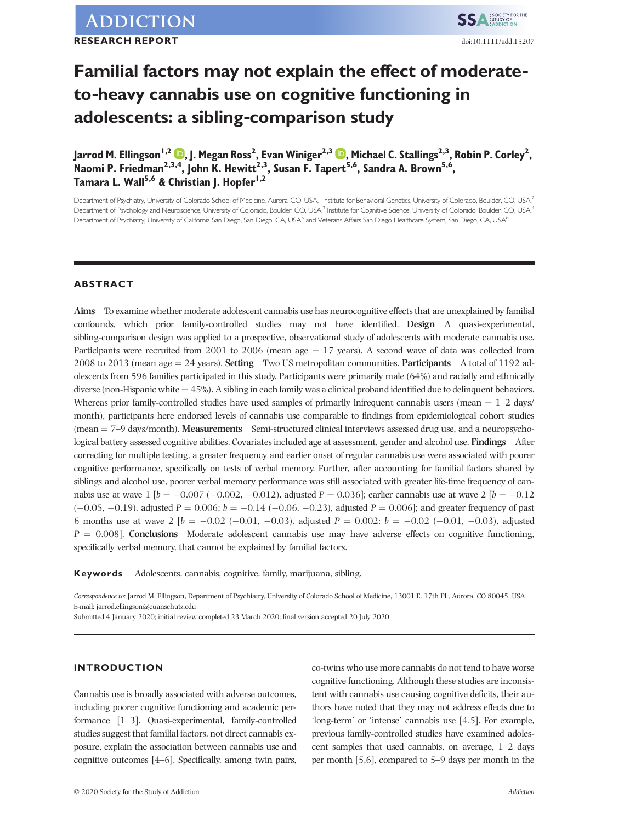# **Familial factors may not explain the effect of moderate‐ to‐heavy cannabis use on cognitive functioning in adolescents: a sibling‐comparison study**

Jarrod M. Ellingson<sup>1[,](https://orcid.org/0000-0001-9932-2656)2</sup> <mark>ID</mark>, J. Megan Ross<sup>2</sup>, Evan Winiger<sup>2,3</sup> **ID**, Michael C. Stallings<sup>2,3</sup>, Robin P. Corley<sup>2</sup>, **Naomi P. Friedman2,3,4, John K. Hewitt2,3, Susan F. Tapert5,6, Sandra A. Brown5,6, Tamara L. Wall5,6 & Christian J. Hopfer1,2**

Department of Psychiatry, University of Colorado School of Medicine, Aurora, CO, USA,<sup>1</sup> Institute for Behavioral Genetics, University of Colorado, Boulder, CO, USA,<sup>2</sup> Department of Psychology and Neuroscience, University of Colorado, Boulder, CO, USA,<sup>3</sup> Institute for Cognitive Science, University of Colorado, Boulder, CO, USA,<sup>4</sup> Department of Psychiatry, University of California San Diego, San Diego, CA, USA<sup>5</sup> and Veterans Affairs San Diego, Healthcare System, San Diego, CA, USA<sup>6</sup>

## **ABSTRACT**

**Aims** To examine whether moderate adolescent cannabis use has neurocognitive effects that are unexplained by familial confounds, which prior family‐controlled studies may not have identified. **Design** A quasi‐experimental, sibling-comparison design was applied to a prospective, observational study of adolescents with moderate cannabis use. Participants were recruited from 2001 to 2006 (mean age  $= 17$  years). A second wave of data was collected from 2008 to 2013 (mean age ¼ 24 years). **Setting** Two US metropolitan communities. **Participants** A total of 1192 adolescents from 596 families participated in this study. Participants were primarily male (64%) and racially and ethnically diverse (non-Hispanic white  $=$  45%). A sibling in each family was a clinical proband identified due to delinquent behaviors. Whereas prior family-controlled studies have used samples of primarily infrequent cannabis users (mean  $= 1-2$  days/ month), participants here endorsed levels of cannabis use comparable to findings from epidemiological cohort studies (mean = 7–9 days/month). **Measurements** Semi-structured clinical interviews assessed drug use, and a neuropsychological battery assessed cognitive abilities. Covariates included age at assessment, gender and alcohol use. **Findings** After correcting for multiple testing, a greater frequency and earlier onset of regular cannabis use were associated with poorer cognitive performance, specifically on tests of verbal memory. Further, after accounting for familial factors shared by siblings and alcohol use, poorer verbal memory performance was still associated with greater life-time frequency of cannabis use at wave  $1 [b = -0.007 (-0.002, -0.012)$ , adjusted  $P = 0.036$ ]; earlier cannabis use at wave  $2 [b = -0.12]$  $(-0.05, -0.19)$ , adjusted  $P = 0.006$ ;  $b = -0.14$   $(-0.06, -0.23)$ , adjusted  $P = 0.006$ ]; and greater frequency of past 6 months use at wave 2  $[b = -0.02 (-0.01, -0.03)]$ , adjusted  $P = 0.002$ ;  $b = -0.02 (-0.01, -0.03)]$ , adjusted  $P = 0.008$ ]. **Conclusions** Moderate adolescent cannabis use may have adverse effects on cognitive functioning, specifically verbal memory, that cannot be explained by familial factors.

**Keywords** Adolescents, cannabis, cognitive, family, marijuana, sibling.

*Correspondence to:* Jarrod M. Ellingson, Department of Psychiatry, University of Colorado School of Medicine, 13001 E. 17th Pl., Aurora, CO 80045, USA. E‐mail: [jarrod.ellingson@cuanschutz.edu](mailto:jarrod.ellingson@cuanschutz.edu)

Submitted 4 January 2020; initial review completed 23 March 2020; final version accepted 20 July 2020

## **INTRODUCTION**

Cannabis use is broadly associated with adverse outcomes, including poorer cognitive functioning and academic performance [1–3]. Quasi-experimental, family-controlled studies suggest that familial factors, not direct cannabis exposure, explain the association between cannabis use and cognitive outcomes [4–6]. Specifically, among twin pairs,

co‐twins who use more cannabis do not tend to have worse cognitive functioning. Although these studies are inconsistent with cannabis use causing cognitive deficits, their authors have noted that they may not address effects due to 'long‐term' or 'intense' cannabis use [4,5]. For example, previous family‐controlled studies have examined adolescent samples that used cannabis, on average, 1–2 days per month [5,6], compared to 5–9 days per month in the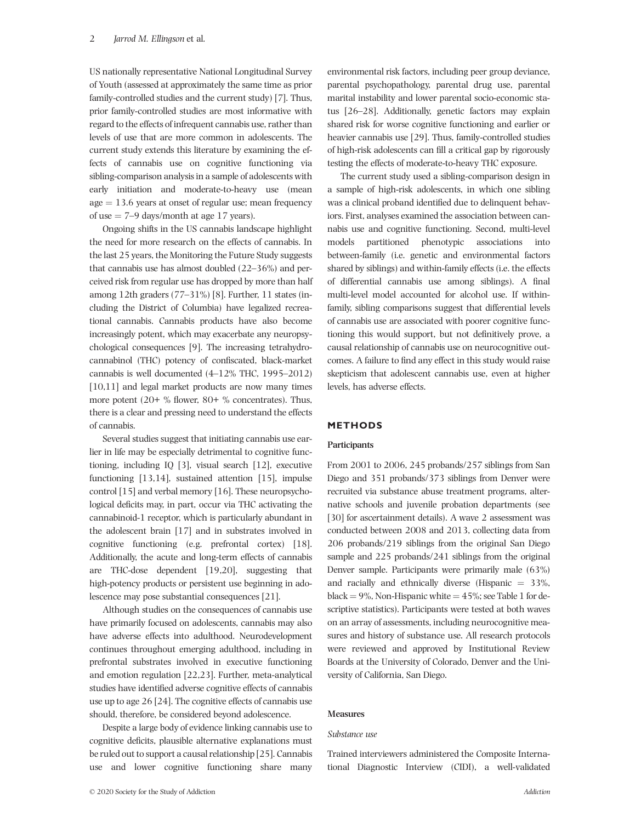US nationally representative National Longitudinal Survey of Youth (assessed at approximately the same time as prior family-controlled studies and the current study) [7]. Thus, prior family‐controlled studies are most informative with regard to the effects of infrequent cannabis use, rather than levels of use that are more common in adolescents. The current study extends this literature by examining the effects of cannabis use on cognitive functioning via sibling‐comparison analysis in a sample of adolescents with early initiation and moderate‐to‐heavy use (mean  $age = 13.6$  years at onset of regular use; mean frequency of use  $= 7-9$  days/month at age 17 years).

Ongoing shifts in the US cannabis landscape highlight the need for more research on the effects of cannabis. In the last 25 years, the Monitoring the Future Study suggests that cannabis use has almost doubled (22–36%) and perceived risk from regular use has dropped by more than half among 12th graders (77–31%) [8]. Further, 11 states (including the District of Columbia) have legalized recreational cannabis. Cannabis products have also become increasingly potent, which may exacerbate any neuropsychological consequences [9]. The increasing tetrahydrocannabinol (THC) potency of confiscated, black‐market cannabis is well documented (4–12% THC, 1995–2012) [10,11] and legal market products are now many times more potent (20+ % flower, 80+ % concentrates). Thus, there is a clear and pressing need to understand the effects of cannabis.

Several studies suggest that initiating cannabis use earlier in life may be especially detrimental to cognitive functioning, including IQ [3], visual search [12], executive functioning [13,14], sustained attention [15], impulse control [15] and verbal memory [16]. These neuropsychological deficits may, in part, occur via THC activating the cannabinoid‐1 receptor, which is particularly abundant in the adolescent brain [17] and in substrates involved in cognitive functioning (e.g. prefrontal cortex) [18]. Additionally, the acute and long‐term effects of cannabis are THC‐dose dependent [19,20], suggesting that high-potency products or persistent use beginning in adolescence may pose substantial consequences [21].

Although studies on the consequences of cannabis use have primarily focused on adolescents, cannabis may also have adverse effects into adulthood. Neurodevelopment continues throughout emerging adulthood, including in prefrontal substrates involved in executive functioning and emotion regulation [22,23]. Further, meta-analytical studies have identified adverse cognitive effects of cannabis use up to age 26 [24]. The cognitive effects of cannabis use should, therefore, be considered beyond adolescence.

Despite a large body of evidence linking cannabis use to cognitive deficits, plausible alternative explanations must be ruled out to support a causal relationship [25]. Cannabis use and lower cognitive functioning share many environmental risk factors, including peer group deviance, parental psychopathology, parental drug use, parental marital instability and lower parental socio‐economic status [26–28]. Additionally, genetic factors may explain shared risk for worse cognitive functioning and earlier or heavier cannabis use [29]. Thus, family-controlled studies of high‐risk adolescents can fill a critical gap by rigorously testing the effects of moderate‐to‐heavy THC exposure.

The current study used a sibling‐comparison design in a sample of high‐risk adolescents, in which one sibling was a clinical proband identified due to delinquent behaviors. First, analyses examined the association between cannabis use and cognitive functioning. Second, multi‐level models partitioned phenotypic associations into between‐family (i.e. genetic and environmental factors shared by siblings) and within‐family effects (i.e. the effects of differential cannabis use among siblings). A final multi-level model accounted for alcohol use. If withinfamily, sibling comparisons suggest that differential levels of cannabis use are associated with poorer cognitive functioning this would support, but not definitively prove, a causal relationship of cannabis use on neurocognitive outcomes. A failure to find any effect in this study would raise skepticism that adolescent cannabis use, even at higher levels, has adverse effects.

## **METHODS**

#### **Participants**

From 2001 to 2006, 245 probands/257 siblings from San Diego and 351 probands/373 siblings from Denver were recruited via substance abuse treatment programs, alternative schools and juvenile probation departments (see [30] for ascertainment details). A wave 2 assessment was conducted between 2008 and 2013, collecting data from 206 probands/219 siblings from the original San Diego sample and 225 probands/241 siblings from the original Denver sample. Participants were primarily male (63%) and racially and ethnically diverse (Hispanic  $= 33\%$ , black =  $9\%$ , Non-Hispanic white =  $45\%$ ; see Table 1 for descriptive statistics). Participants were tested at both waves on an array of assessments, including neurocognitive measures and history of substance use. All research protocols were reviewed and approved by Institutional Review Boards at the University of Colorado, Denver and the University of California, San Diego.

## **Measures**

## *Substance use*

Trained interviewers administered the Composite International Diagnostic Interview (CIDI), a well‐validated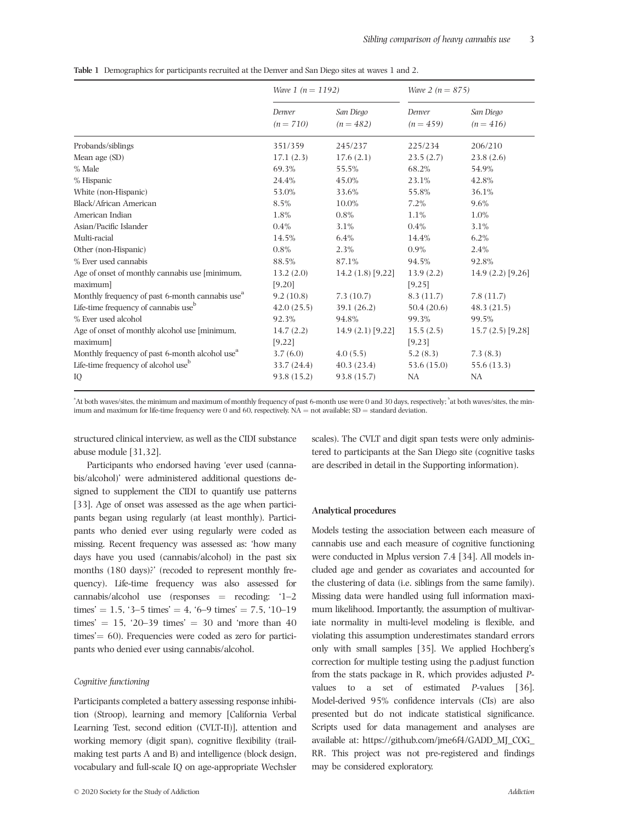|  |  |  | Table 1 Demographics for participants recruited at the Denver and San Diego sites at waves 1 and 2. |  |
|--|--|--|-----------------------------------------------------------------------------------------------------|--|
|--|--|--|-----------------------------------------------------------------------------------------------------|--|

|                                                             | <i>Wave 1 (n = 1192)</i> |                          | <i>Wave 2 (n = 875)</i> |                          |
|-------------------------------------------------------------|--------------------------|--------------------------|-------------------------|--------------------------|
|                                                             | Denver<br>$(n = 710)$    | San Diego<br>$(n = 482)$ | Denver<br>$(n = 459)$   | San Diego<br>$(n = 416)$ |
| Probands/siblings                                           | 351/359                  | 245/237                  | 225/234                 | 206/210                  |
| Mean age (SD)                                               | 17.1(2.3)                | 17.6(2.1)                | 23.5(2.7)               | 23.8(2.6)                |
| $%$ Male                                                    | 69.3%                    | 55.5%                    | 68.2%                   | 54.9%                    |
| % Hispanic                                                  | 24.4%                    | 45.0%                    | 23.1%                   | 42.8%                    |
| White (non-Hispanic)                                        | 53.0%                    | 33.6%                    | 55.8%                   | 36.1%                    |
| Black/African American                                      | 8.5%                     | 10.0%                    | 7.2%                    | 9.6%                     |
| American Indian                                             | 1.8%                     | $0.8\%$                  | 1.1%                    | 1.0%                     |
| Asian/Pacific Islander                                      | $0.4\%$                  | 3.1%                     | 0.4%                    | 3.1%                     |
| Multi-racial                                                | 14.5%                    | 6.4%                     | 14.4%                   | 6.2%                     |
| Other (non-Hispanic)                                        | $0.8\%$                  | 2.3%                     | $0.9\%$                 | 2.4%                     |
| % Ever used cannabis                                        | 88.5%                    | 87.1%                    | 94.5%                   | 92.8%                    |
| Age of onset of monthly cannabis use [minimum,              | 13.2(2.0)                | 14.2 $(1.8)$ [9,22]      | 13.9(2.2)               | 14.9 $(2.2)$ [9,26]      |
| maximum                                                     | [9,20]                   |                          | [9,25]                  |                          |
| Monthly frequency of past 6-month cannabis use <sup>a</sup> | 9.2(10.8)                | 7.3(10.7)                | 8.3(11.7)               | 7.8(11.7)                |
| Life-time frequency of cannabis use <sup>b</sup>            | 42.0(25.5)               | 39.1 (26.2)              | 50.4(20.6)              | 48.3(21.5)               |
| % Ever used alcohol                                         | 92.3%                    | 94.8%                    | 99.3%                   | 99.5%                    |
| Age of onset of monthly alcohol use [minimum,<br>maximum]   | 14.7(2.2)<br>[9,22]      | $14.9(2.1)$ [9,22]       | 15.5(2.5)<br>[9,23]     | $15.7(2.5)$ [9,28]       |
| Monthly frequency of past 6-month alcohol use <sup>a</sup>  | 3.7(6.0)                 | 4.0(5.5)                 | 5.2(8.3)                | 7.3(8.3)                 |
| Life-time frequency of alcohol use <sup>b</sup>             | 33.7(24.4)               | 40.3(23.4)               | 53.6 (15.0)             | 55.6 (13.3)              |
| IQ                                                          | 93.8 (15.2)              | 93.8 (15.7)              | NA                      | NA                       |

"At both waves/sites, the minimum and maximum of monthly frequency of past 6-month use were 0 and 30 days, respectively; "at both waves/sites, the minimum and maximum for life-time frequency were 0 and 60, respectively.  $NA = not$  available;  $SD = standard$  deviation.

structured clinical interview, as well as the CIDI substance abuse module [31,32].

Participants who endorsed having 'ever used (cannabis/alcohol)' were administered additional questions designed to supplement the CIDI to quantify use patterns [33]. Age of onset was assessed as the age when participants began using regularly (at least monthly). Participants who denied ever using regularly were coded as missing. Recent frequency was assessed as: 'how many days have you used (cannabis/alcohol) in the past six months (180 days)?' (recoded to represent monthly frequency). Life-time frequency was also assessed for cannabis/alcohol use (responses  $=$  recoding: '1–2 times' = 1.5, '3–5 times' = 4, '6–9 times' = 7.5, '10–19 times'  $= 15$ , '20–39 times'  $= 30$  and 'more than 40  $times' = 60$ ). Frequencies were coded as zero for participants who denied ever using cannabis/alcohol.

## *Cognitive functioning*

Participants completed a battery assessing response inhibition (Stroop), learning and memory [California Verbal Learning Test, second edition (CVLT‐II)], attention and working memory (digit span), cognitive flexibility (trail‐ making test parts A and B) and intelligence (block design, vocabulary and full‐scale IQ on age‐appropriate Wechsler

scales). The CVLT and digit span tests were only administered to participants at the San Diego site (cognitive tasks are described in detail in the Supporting information).

## **Analytical procedures**

Models testing the association between each measure of cannabis use and each measure of cognitive functioning were conducted in Mplus version 7.4 [34]. All models included age and gender as covariates and accounted for the clustering of data (i.e. siblings from the same family). Missing data were handled using full information maximum likelihood. Importantly, the assumption of multivariate normality in multi‐level modeling is flexible, and violating this assumption underestimates standard errors only with small samples [35]. We applied Hochberg's correction for multiple testing using the p.adjust function from the stats package in R, which provides adjusted *P*‐ values to a set of estimated *P*-values [36]. Model‐derived 95% confidence intervals (CIs) are also presented but do not indicate statistical significance. Scripts used for data management and analyses are available at: [https://github.com/jme6f4/GADD\\_MJ\\_COG\\_](https://github.com/jme6f4/GADD_MJ_COG_RR) [RR](https://github.com/jme6f4/GADD_MJ_COG_RR). This project was not pre‐registered and findings may be considered exploratory.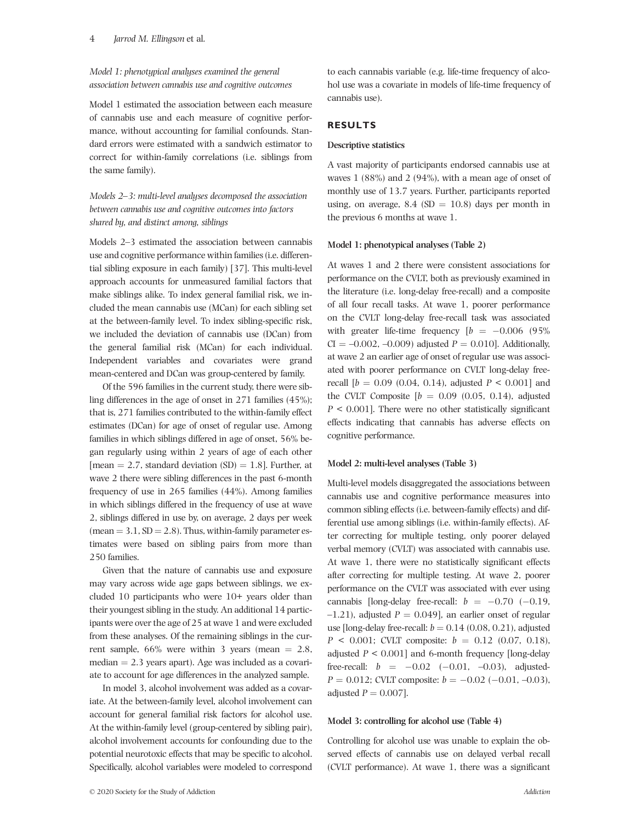# *Model 1: phenotypical analyses examined the general association between cannabis use and cognitive outcomes*

Model 1 estimated the association between each measure of cannabis use and each measure of cognitive performance, without accounting for familial confounds. Standard errors were estimated with a sandwich estimator to correct for within‐family correlations (i.e. siblings from the same family).

*Models 2–3: multi‐level analyses decomposed the association between cannabis use and cognitive outcomes into factors shared by, and distinct among, siblings*

Models 2–3 estimated the association between cannabis use and cognitive performance within families (i.e. differential sibling exposure in each family) [37]. This multi‐level approach accounts for unmeasured familial factors that make siblings alike. To index general familial risk, we included the mean cannabis use (MCan) for each sibling set at the between‐family level. To index sibling‐specific risk, we included the deviation of cannabis use (DCan) from the general familial risk (MCan) for each individual. Independent variables and covariates were grand mean‐centered and DCan was group‐centered by family.

Of the 596 families in the current study, there were sibling differences in the age of onset in 271 families (45%); that is, 271 families contributed to the within‐family effect estimates (DCan) for age of onset of regular use. Among families in which siblings differed in age of onset, 56% began regularly using within 2 years of age of each other [mean  $= 2.7$ , standard deviation (SD)  $= 1.8$ ]. Further, at wave 2 there were sibling differences in the past 6‐month frequency of use in 265 families (44%). Among families in which siblings differed in the frequency of use at wave 2, siblings differed in use by, on average, 2 days per week  $(\text{mean} = 3.1, \text{SD} = 2.8)$ . Thus, within-family parameter estimates were based on sibling pairs from more than 250 families.

Given that the nature of cannabis use and exposure may vary across wide age gaps between siblings, we excluded 10 participants who were 10+ years older than their youngest sibling in the study. An additional 14 participants were over the age of 25 at wave 1 and were excluded from these analyses. Of the remaining siblings in the current sample,  $66\%$  were within 3 years (mean  $= 2.8$ , median  $= 2.3$  years apart). Age was included as a covariate to account for age differences in the analyzed sample.

In model 3, alcohol involvement was added as a covariate. At the between‐family level, alcohol involvement can account for general familial risk factors for alcohol use. At the within-family level (group-centered by sibling pair), alcohol involvement accounts for confounding due to the potential neurotoxic effects that may be specific to alcohol. Specifically, alcohol variables were modeled to correspond

to each cannabis variable (e.g. life-time frequency of alcohol use was a covariate in models of life-time frequency of cannabis use).

# **RESULTS**

# **Descriptive statistics**

A vast majority of participants endorsed cannabis use at waves 1 (88%) and 2 (94%), with a mean age of onset of monthly use of 13.7 years. Further, participants reported using, on average,  $8.4$  (SD = 10.8) days per month in the previous 6 months at wave 1.

# **Model 1: phenotypical analyses (Table 2)**

At waves 1 and 2 there were consistent associations for performance on the CVLT, both as previously examined in the literature (i.e. long‐delay free‐recall) and a composite of all four recall tasks. At wave 1, poorer performance on the CVLT long‐delay free‐recall task was associated with greater life-time frequency  $[b = -0.006 \ (95\%)$  $CI = -0.002, -0.009$  adjusted  $P = 0.010$ . Additionally, at wave 2 an earlier age of onset of regular use was associated with poorer performance on CVLT long‐delay free‐ recall  $[b = 0.09 (0.04, 0.14)$ , adjusted  $P < 0.001$  and the CVLT Composite  $[b = 0.09 \ (0.05, 0.14)$ , adjusted *P* < 0.001]. There were no other statistically significant effects indicating that cannabis has adverse effects on cognitive performance.

# **Model 2: multi‐level analyses (Table 3)**

Multi-level models disaggregated the associations between cannabis use and cognitive performance measures into common sibling effects (i.e. between‐family effects) and differential use among siblings (i.e. within‐family effects). After correcting for multiple testing, only poorer delayed verbal memory (CVLT) was associated with cannabis use. At wave 1, there were no statistically significant effects after correcting for multiple testing. At wave 2, poorer performance on the CVLT was associated with ever using cannabis [long-delay free-recall:  $b = -0.70$  (-0.19,  $-1.21$ ), adjusted  $P = 0.049$ ], an earlier onset of regular use [long-delay free-recall:  $b = 0.14$  (0.08, 0.21), adjusted  $P \leq 0.001$ ; CVLT composite:  $b = 0.12$  (0.07, 0.18), adjusted  $P < 0.001$ ] and 6-month frequency [long-delay free-recall:  $b = -0.02 \ (-0.01, -0.03)$ , adjusted- $P = 0.012$ ; CVLT composite:  $b = -0.02$  ( $-0.01$ ,  $-0.03$ ), adjusted  $P = 0.007$ .

# **Model 3: controlling for alcohol use (Table 4)**

Controlling for alcohol use was unable to explain the observed effects of cannabis use on delayed verbal recall (CVLT performance). At wave 1, there was a significant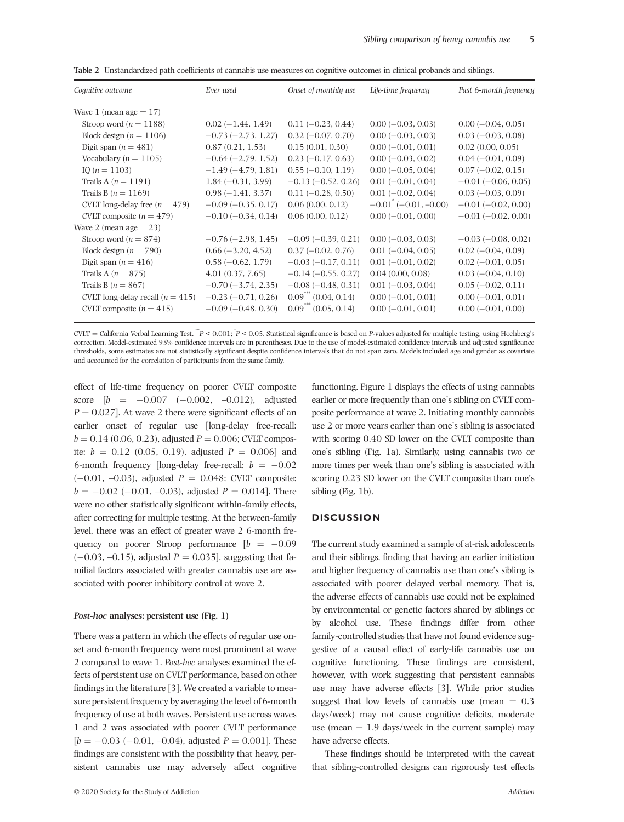| Cognitive outcome                  | Ever used                 | Onset of monthly use      | Life-time frequency      | Past 6-month frequency  |
|------------------------------------|---------------------------|---------------------------|--------------------------|-------------------------|
| Wave 1 (mean age $= 17$ )          |                           |                           |                          |                         |
| Stroop word ( $n = 1188$ )         | $0.02(-1.44, 1.49)$       | $0.11(-0.23, 0.44)$       | $0.00 (-0.03, 0.03)$     | $0.00 (-0.04, 0.05)$    |
| Block design $(n = 1106)$          | $-0.73(-2.73, 1.27)$      | $0.32(-0.07, 0.70)$       | $0.00 (-0.03, 0.03)$     | $0.03(-0.03, 0.08)$     |
| Digit span $(n = 481)$             | 0.87(0.21, 1.53)          | 0.15(0.01, 0.30)          | $0.00 (-0.01, 0.01)$     | $0.02$ $(0.00, 0.05)$   |
| Vocabulary ( $n = 1105$ )          | $-0.64$ ( $-2.79$ , 1.52) | $0.23(-0.17, 0.63)$       | $0.00 (-0.03, 0.02)$     | $0.04 (-0.01, 0.09)$    |
| IO $(n = 1103)$                    | $-1.49(-4.79, 1.81)$      | $0.55(-0.10, 1.19)$       | $0.00 (-0.05, 0.04)$     | $0.07(-0.02, 0.15)$     |
| Trails A $(n = 1191)$              | $1.84(-0.31, 3.99)$       | $-0.13(-0.52, 0.26)$      | $0.01(-0.01, 0.04)$      | $-0.01$ $(-0.06, 0.05)$ |
| Trails B $(n = 1169)$              | $0.98(-1.41, 3.37)$       | $0.11(-0.28, 0.50)$       | $0.01 (-0.02, 0.04)$     | $0.03(-0.03, 0.09)$     |
| CVLT long-delay free $(n = 479)$   | $-0.09$ ( $-0.35$ , 0.17) | 0.06(0.00, 0.12)          | $-0.01$ $(-0.01, -0.00)$ | $-0.01$ $(-0.02, 0.00)$ |
| CVLT composite $(n = 479)$         | $-0.10(-0.34, 0.14)$      | 0.06(0.00, 0.12)          | $0.00 (-0.01, 0.00)$     | $-0.01$ $(-0.02, 0.00)$ |
| Wave 2 (mean age $= 23$ )          |                           |                           |                          |                         |
| Stroop word $(n = 874)$            | $-0.76(-2.98, 1.45)$      | $-0.09$ ( $-0.39$ , 0.21) | $0.00 (-0.03, 0.03)$     | $-0.03$ $(-0.08, 0.02)$ |
| Block design $(n = 790)$           | $0.66 (-3.20, 4.52)$      | $0.37(-0.02, 0.76)$       | $0.01(-0.04, 0.05)$      | $0.02(-0.04, 0.09)$     |
| Digit span $(n = 416)$             | $0.58(-0.62, 1.79)$       | $-0.03$ $(-0.17, 0.11)$   | $0.01 (-0.01, 0.02)$     | $0.02(-0.01, 0.05)$     |
| Trails A $(n = 875)$               | 4.01(0.37, 7.65)          | $-0.14 (-0.55, 0.27)$     | 0.04(0.00, 0.08)         | $0.03(-0.04, 0.10)$     |
| Trails B $(n = 867)$               | $-0.70$ ( $-3.74$ , 2.35) | $-0.08(-0.48, 0.31)$      | $0.01(-0.03, 0.04)$      | $0.05(-0.02, 0.11)$     |
| CVLT long-delay recall $(n = 415)$ | $-0.23(-0.71, 0.26)$      | $0.09$ $(0.04, 0.14)$     | $0.00 (-0.01, 0.01)$     | $0.00 (-0.01, 0.01)$    |
| CVLT composite $(n = 415)$         | $-0.09(-0.48, 0.30)$      | $0.09$ $(0.05, 0.14)$     | $0.00 (-0.01, 0.01)$     | $0.00 (-0.01, 0.00)$    |

**Table 2** Unstandardized path coefficients of cannabis use measures on cognitive outcomes in clinical probands and siblings.

CVLT <sup>¼</sup> California Verbal Learning Test. \*\*\**<sup>P</sup>* < 0.001; \* *P* < 0.05. Statistical significance is based on *P*‐values adjusted for multiple testing, using Hochberg's correction. Model‐estimated 95% confidence intervals are in parentheses. Due to the use of model‐estimated confidence intervals and adjusted significance thresholds, some estimates are not statistically significant despite confidence intervals that do not span zero. Models included age and gender as covariate and accounted for the correlation of participants from the same family.

effect of life‐time frequency on poorer CVLT composite score  $[b = -0.007 \ (-0.002, \ -0.012)$ , adjusted  $P = 0.027$ . At wave 2 there were significant effects of an earlier onset of regular use [long‐delay free‐recall:  $b = 0.14$  (0.06, 0.23), adjusted  $P = 0.006$ ; CVLT composite:  $b = 0.12$  (0.05, 0.19), adjusted  $P = 0.006$ ] and 6-month frequency [long-delay free-recall:  $b = -0.02$  $(-0.01, -0.03)$ , adjusted  $P = 0.048$ ; CVLT composite:  $b = -0.02$  ( $-0.01$ ,  $-0.03$ ), adjusted  $P = 0.014$ ]. There were no other statistically significant within-family effects, after correcting for multiple testing. At the between‐family level, there was an effect of greater wave 2 6‐month frequency on poorer Stroop performance  $[b = -0.09]$  $(-0.03, -0.15)$ , adjusted *P* = 0.035], suggesting that familial factors associated with greater cannabis use are associated with poorer inhibitory control at wave 2.

#### *Post‐hoc* **analyses: persistent use (Fig. 1)**

There was a pattern in which the effects of regular use onset and 6‐month frequency were most prominent at wave 2 compared to wave 1. *Post‐hoc* analyses examined the effects of persistent use on CVLT performance, based on other findings in the literature [3]. We created a variable to measure persistent frequency by averaging the level of 6‐month frequency of use at both waves. Persistent use across waves 1 and 2 was associated with poorer CVLT performance  $[b = -0.03 \ (-0.01, -0.04),$  adjusted  $P = 0.001$ . These findings are consistent with the possibility that heavy, persistent cannabis use may adversely affect cognitive functioning. Figure 1 displays the effects of using cannabis earlier or more frequently than one's sibling on CVLT composite performance at wave 2. Initiating monthly cannabis use 2 or more years earlier than one's sibling is associated with scoring 0.40 SD lower on the CVLT composite than one's sibling (Fig. 1a). Similarly, using cannabis two or more times per week than one's sibling is associated with scoring 0.23 SD lower on the CVLT composite than one's sibling (Fig. 1b).

# **DISCUSSION**

The current study examined a sample of at‐risk adolescents and their siblings, finding that having an earlier initiation and higher frequency of cannabis use than one's sibling is associated with poorer delayed verbal memory. That is, the adverse effects of cannabis use could not be explained by environmental or genetic factors shared by siblings or by alcohol use. These findings differ from other family‐controlled studies that have not found evidence suggestive of a causal effect of early‐life cannabis use on cognitive functioning. These findings are consistent, however, with work suggesting that persistent cannabis use may have adverse effects [3]. While prior studies suggest that low levels of cannabis use (mean  $= 0.3$ ) days/week) may not cause cognitive deficits, moderate use (mean  $= 1.9$  days/week in the current sample) may have adverse effects.

These findings should be interpreted with the caveat that sibling‐controlled designs can rigorously test effects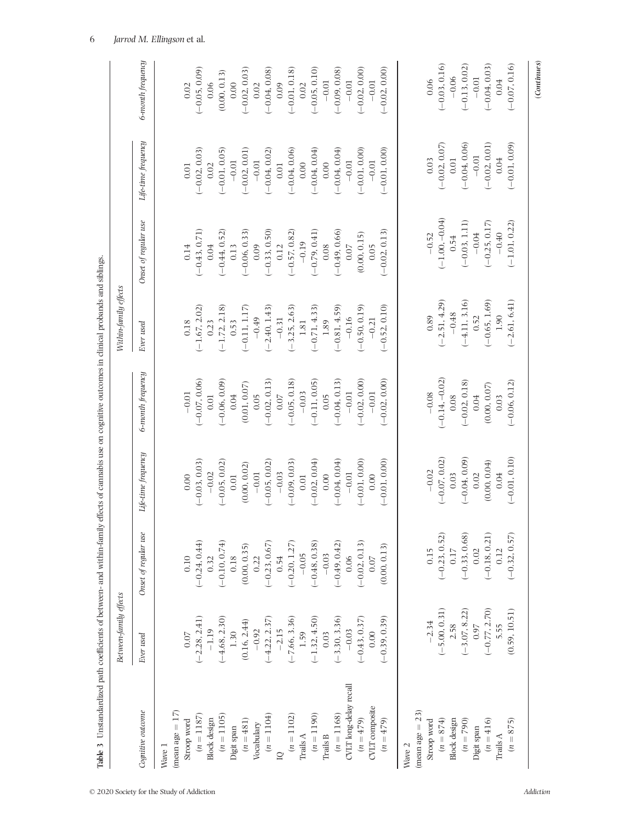| į<br>j<br>j<br>ļ               |
|--------------------------------|
| i<br>ś<br>I                    |
| ś<br>Ξ<br>ļ                    |
| i<br>l                         |
| l<br>ì<br>j<br>È               |
| ļ<br>ļ                         |
| İ                              |
| j                              |
| l<br>ì                         |
| ł<br>i                         |
| ļ<br>i                         |
|                                |
|                                |
| j<br>I<br>ł                    |
| $\frac{1}{2}$<br>i             |
| ŗ<br>ׇ֘֝֬֕                     |
| Ś<br>I                         |
| ļ<br>ć                         |
|                                |
|                                |
| Ì<br>j<br>Ę                    |
| í<br>j                         |
|                                |
| j<br>I<br>$\ddot{\phantom{0}}$ |
|                                |
| ļ                              |
| ׇ֘֝֬֝                          |
|                                |
|                                |
|                                |
| ֚֬֕                            |
|                                |
|                                |
|                                |
| l<br>į                         |
| l                              |
|                                |
| ļ<br>j<br>֕                    |
| $\frac{1}{2}$                  |
| ╡<br>¢<br>E                    |

|                          | Between-family effects                                                                 |                                                                                    |                     |                   | Within-family effects |                             |                     |                   |
|--------------------------|----------------------------------------------------------------------------------------|------------------------------------------------------------------------------------|---------------------|-------------------|-----------------------|-----------------------------|---------------------|-------------------|
| Cognitive outcome        | Ever used                                                                              | Onset of regular use                                                               | Life-time frequency | 6-month frequency | Ever used             | Onset of regular use        | Life-time frequency | 6-month frequency |
| Wave 1                   |                                                                                        |                                                                                    |                     |                   |                       |                             |                     |                   |
| $(\text{mean age} = 17)$ |                                                                                        |                                                                                    |                     |                   |                       |                             |                     |                   |
| Stroop word              | $0.07$                                                                                 | $0.10\,$                                                                           | 0.00                | $-0.01$           | 0.18                  | 0.14                        | 0.01                | 0.02              |
| $(n = 1187)$             |                                                                                        | $(-0.24, 0.44)$                                                                    | $(-0.03, 0.03)$     | $(-0.07, 0.06)$   | $(-1.67, 2.02)$       | $(-0.43, 0.71)$             | $(-0.02, 0.03)$     | $(-0.05, 0.09)$   |
| <b>Block</b> design      | $\begin{array}{c}(-2.28, 2.41)\\-1.19\\(-4.68, 2.30)\\1.30\end{array}$                 | 0.32                                                                               | $-0.02$             | 0.01              | 0.23                  | 0.04                        | 0.02                | 0.06              |
| $(n = 1105)$             |                                                                                        |                                                                                    | $(-0.05, 0.02)$     | $(-0.06, 0.09)$   | $(-1.72, 2.18)$       | $(-0.44, 0.52)$             | $(-0.01, 0.05)$     | (0.00, 0.13)      |
| Digit span               |                                                                                        | $\begin{array}{c} (-0.10, \, 0.74) \\ 0.18 \\ (0.00, \, 0.35) \\ 0.22 \end{array}$ | 0.01                | 0.04              | 0.53                  | 0.13                        | $-0.01$             | 0.00              |
| $(n = 481)$              |                                                                                        |                                                                                    | (0.00, 0.02)        | (0.01, 0.07)      | $(-0.11, 1.17)$       | $(-0.06, 0.33)$             | $(-0.02, 0.01)$     | $(-0.02, 0.03)$   |
| Vocabulary               |                                                                                        |                                                                                    | $-0.01$             | 0.05              | $-0.49$               | 0.09                        | $-0.01$             | $0.02$            |
| $(n = 1104)$             | $(0.16, 2.44)$<br>-0.92<br>(-4.22, 2.37)<br>-2.15                                      | $(-0.23, 0.67)$<br>0.54                                                            | $(-0.05, 0.02)$     | $(-0.02, 0.13)$   | $(-2.40, 1.43)$       | $(-0.33, 0.50)$             | $(-0.04, 0.02)$     | $(-0.04, 0.08)$   |
|                          |                                                                                        |                                                                                    | $-0.03$             | $0.07$            | $-0.31$               | 0.12                        | 0.01                | 0.09              |
| $(n = 1102)$             | $(-7.66, 3.36)$                                                                        | $(-0.20, 1.27)$                                                                    | $(-0.09, 0.03)$     | $(-0.05, 0.18)$   | $(-3.25, 2.63)$       | $(-0.57, 0.82)$             | $(-0.04, 0.06)$     | $(-0.01, 0.18)$   |
| Trails $A$               | 1.59                                                                                   | $-0.05$                                                                            | 0.01                | $-0.03$           | $1.81$                | $-0.19$                     | 0.00                | 0.02              |
| $(n = 1190)$             | $(-1.32, 4.50)$                                                                        | $(-0.48, 0.38)$                                                                    | $(-0.02, 0.04)$     | $(-0.11, 0.05)$   | $(-0.71, 4.33)$       | $(-0.79, 0.41)$             | $(-0.04, 0.04)$     | $(-0.05, 0.10)$   |
| <b>Trails B</b>          | 0.03                                                                                   | $-0.03$                                                                            | 0.00                | 0.05              | 1.89                  | 0.08                        | 0.00                | $-0.01$           |
| $(n = 1168)$             | $(-3.30, 3.36)$                                                                        | $(-0.49, 0.42)$                                                                    | $(-0.04, 0.04)$     | $(-0.04, 0.13)$   | $(-0.81, 4.59)$       | $(-0.49, 0.66)$             | $(-0.04, 0.04)$     | $(-0.09, 0.08)$   |
| CVLT long-delay recall   | $-0.03$                                                                                | 0.06                                                                               | $-0.01$             | $-0.01$           | $-0.16$               | $0.07$                      | $-0.01$             | $-0.01$           |
| $(n = 479)$              | $(-0.43, 0.37)$                                                                        | $(-0.02, 0.13)$                                                                    | $(-0.01, 0.00)$     | $(-0.02, 0.00)$   | $(-0.50, 0.19)$       | (0.00, 0.15)                | $(-0.01, 0.00)$     | $(-0.02, 0.00)$   |
| <b>CVLT</b> composite    | 0.00                                                                                   | 0.07                                                                               | 0.00                | $-0.01$           | $-0.21$               | 0.05                        | $-0.01$             | $-0.01$           |
| $(n = 479)$              | $(-0.39, 0.39)$                                                                        | (0.00, 0.13)                                                                       | $(-0.01, 0.00)$     | $(-0.02, 0.00)$   | $(-0.52, 0.10)$       | $(-0.02, 0.13)$             | $(-0.01, 0.00)$     | $-0.02, 0.00$     |
| Wave 2                   |                                                                                        |                                                                                    |                     |                   |                       |                             |                     |                   |
| $(\text{mean age} = 23)$ |                                                                                        |                                                                                    |                     |                   |                       |                             |                     |                   |
| Stroop word              |                                                                                        | 0.15<br>$(-0.23, 0.52)$<br>0.17<br>3                                               | $-0.02$             | $-0.08$           | 0.89                  |                             | 0.03                | 0.06              |
| $(n = 874)$              |                                                                                        |                                                                                    | $(-0.07, 0.02)$     | $(-0.14, -0.02)$  | $(-2.51, 4.29)$       | $-0.52$<br>$(-1.00, -0.04)$ | $(-0.02, 0.07)$     | $(-0.03, 0.16)$   |
| <b>Block</b> design      |                                                                                        |                                                                                    | 0.03                | 0.08              | $-0.48$               | 0.54                        | $0.01$              | $-0.06$           |
| $(n = 790)$              | $\begin{array}{r} -2.34 \\ (-5.00, 0.31) \\ 2.58 \\ (-3.07, 8.22) \\ 0.97 \end{array}$ | $(-0.33, 0.68)$<br>0.02                                                            | $(-0.04, 0.09)$     | $(-0.02, 0.18)$   | $(-4.11, 3.16)$       | $(-0.03, 1.11)$             | $(-0.04, 0.06)$     | $(-0.13, 0.02)$   |
| Digit span               |                                                                                        |                                                                                    | 0.02                | 0.04              | 0.52                  | $-0.04$                     | $-0.01$             | $-0.01$           |
| $(n = 416)$              | $(-0.77, 2.70)$                                                                        | $(-0.18, 0.21)$                                                                    | (0.00, 0.04)        | (0.00, 0.07)      | $(-0.65, 1.69)$       | $(-0.25, 0.17)$             | $(-0.02, 0.01)$     | $(-0.04, 0.03)$   |
| Trails A                 | 5.55                                                                                   | 0.12                                                                               | 0.04                | 0.03              | 1.90                  | $-0.40$                     | 0.04                | 0.04              |
| $(n = 875)$              | (0.59, 10.51)                                                                          | $(-0.32, 0.57)$                                                                    | $(-0.01, 0.10)$     | $(-0.06, 0.12)$   | $(-2.61, 6.41)$       | $(-1.01, 0.22)$             | $(-0.01, 0.09)$     | $(-0.07, 0.16)$   |
|                          |                                                                                        |                                                                                    |                     |                   |                       |                             |                     | (Continues)       |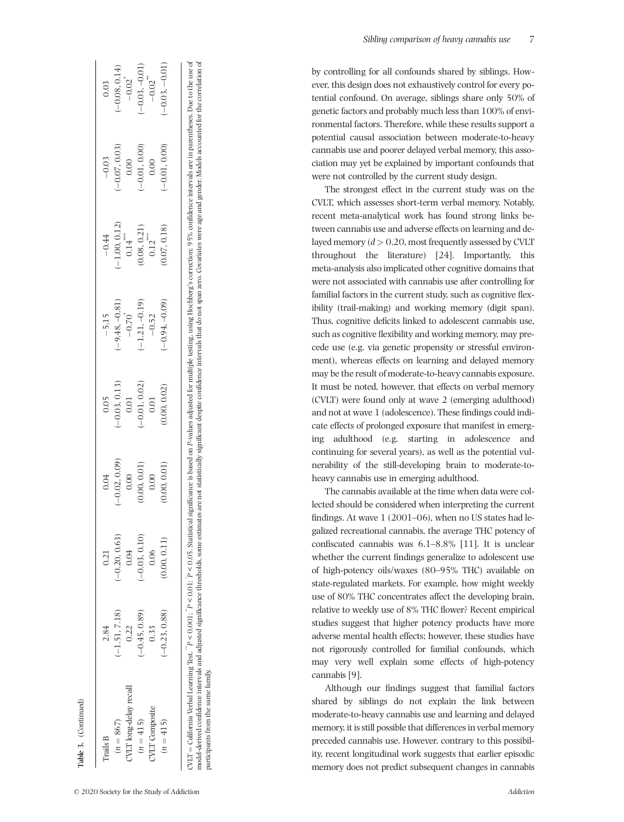| $-0.01, 0.00$<br>$(-0.07, 0.03)$<br>0.00<br>0.00<br>$(-1.00, 0.12)$<br>(0.08, 0.21)<br>0.14<br>$0.12$ <sup>***</sup><br>$-1.21, -0.19$<br>$(-9.48, -0.81)$<br>$-0.70$ <sup>*</sup><br>$-0.52$<br>$(-0.03, 0.13)$<br>$(-0.01, 0.02)$<br>0.01<br>0.01<br>$(-0.02, 0.09)$<br>(0.00, 0.01)<br>0.00<br>0.00<br>$-0.20, 0.63)$<br>$-0.03, 0.10$<br>0.04<br>0.06<br>$(-1.51, 7.18)$<br>$-0.45, 0.89$<br>0.33<br>0.22<br>JVLT long-delay recall<br>JVLT Composite<br>$(n = 867)$<br>$(n = 415)$ | Trails B    | 2.84          | 0.21        | 0.04         | 0.05         | $-5.15$          | $-0.44$      | $-0.03$       | 0.03                 |
|-----------------------------------------------------------------------------------------------------------------------------------------------------------------------------------------------------------------------------------------------------------------------------------------------------------------------------------------------------------------------------------------------------------------------------------------------------------------------------------------|-------------|---------------|-------------|--------------|--------------|------------------|--------------|---------------|----------------------|
|                                                                                                                                                                                                                                                                                                                                                                                                                                                                                         |             |               |             |              |              |                  |              |               | $(-0.08, 0.14)$      |
|                                                                                                                                                                                                                                                                                                                                                                                                                                                                                         |             |               |             |              |              |                  |              |               | $-0.02$ <sup>*</sup> |
|                                                                                                                                                                                                                                                                                                                                                                                                                                                                                         |             |               |             |              |              |                  |              |               | $-0.03, -0.01$       |
|                                                                                                                                                                                                                                                                                                                                                                                                                                                                                         |             |               |             |              |              |                  |              |               | $-0.02$              |
|                                                                                                                                                                                                                                                                                                                                                                                                                                                                                         | $(n = 415)$ | $-0.23, 0.88$ | 0.00, 0.11) | (0.00, 0.01) | (0.00, 0.02) | $(-0.94, -0.09)$ | (0.07, 0.18) | $-0.01, 0.00$ | $-0.03, -0.01$ )     |

model-derived confidence intervals and adjusted significance thresholds, some estimates are not statistically significant despite confidence intervals that do not span zero. Covariates were age and gender. Models accounted

participants from the same family.

participants from the same family

| Sibling comparison of heavy cannabis use |  |  |  |
|------------------------------------------|--|--|--|
|------------------------------------------|--|--|--|

by controlling for all confounds shared by siblings. However, this design does not exhaustively control for every potential confound. On average, siblings share only 50% of genetic factors and probably much less than 100% of environmental factors. Therefore, while these results support a potential causal association between moderate ‐to ‐heavy cannabis use and poorer delayed verbal memory, this association may yet be explained by important confounds that were not controlled by the current study design.

The strongest effect in the current study was on the CVLT, which assesses short ‐term verbal memory. Notably, recent meta ‐analytical work has found strong links between cannabis use and adverse effects on learning and delayed memory (*d >* 0.20, most frequently assessed by CVLT throughout the literature) [24]. Importantly, this meta ‐analysis also implicated other cognitive domains that were not associated with cannabis use after controlling for familial factors in the current study, such as cognitive flexibility (trail‐making) and working memory (digit span). Thus, cognitive de ficits linked to adolescent cannabis use, such as cognitive flexibility and working memory, may precede use (e.g. via genetic propensity or stressful environment), whereas effects on learning and delayed memory may be the result of moderate ‐to ‐heavy cannabis exposure. It must be noted, however, that effects on verbal memory (CVLT) were found only at wave 2 (emerging adulthood) and not at wave 1 (adolescence). These findings could indicate effects of prolonged exposure that manifest in emerging adulthood (e.g. starting in adolescence and continuing for several years), as well as the potential vulnerability of the still‐developing brain to moderate‐to‐ heavy cannabis use in emerging adulthood.

The cannabis available at the time when data were collected should be considered when interpreting the current findings. At wave 1 (2001–06), when no US states had legalized recreational cannabis, the average THC potency of con fiscated cannabis was 6.1 –8.8% [11]. It is unclear whether the current findings generalize to adolescent use of high ‐potency oils/waxes (80 –95% THC) available on state ‐regulated markets. For example, how might weekly use of 80% THC concentrates affect the developing brain, relative to weekly use of 8% THC flower? Recent empirical studies suggest that higher potency products have more adverse mental health effects; however, these studies have not rigorously controlled for familial confounds, which may very well explain some effects of high ‐potency cannabis [9].

Although our findings suggest that familial factors shared by siblings do not explain the link between moderate ‐to ‐heavy cannabis use and learning and delayed memory, it is still possible that differences in verbal memory preceded cannabis use. However, contrary to this possibility, recent longitudinal work suggests that earlier episodic memory does not predict subsequent changes in cannabis

**Table 3.** (Continued)

lable 3. (Continued)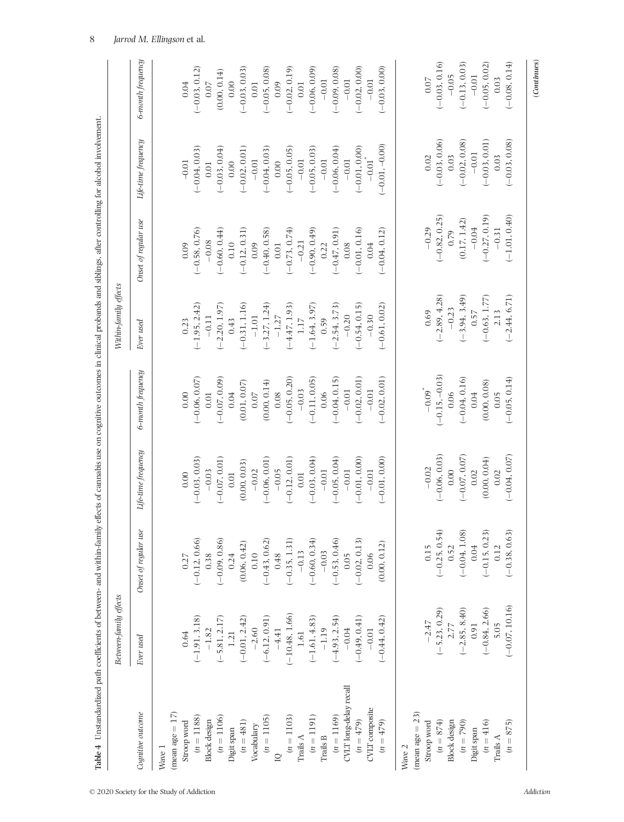| j<br>ł<br>I<br>i<br>I<br>ļ<br> <br> <br>ł<br>č<br>i                                                     |
|---------------------------------------------------------------------------------------------------------|
| Ì<br>ļ<br>l                                                                                             |
| ֓֕֕֡<br>j<br>l<br>i<br>֬֕֓֕֓֡<br>Ì                                                                      |
| ֧֧֧֧֧֧֧֧ׅ֧֚֚֚֚֚֚֚֚֚֚֚֚֚֚֚֚֚֚֚֚֚֚֚֝֡֓֝֓֝֓֝֓֝֓֝֬֜֓<br>j<br>I<br>١<br>l<br>.<br>.<br>.<br>į<br>i           |
| l<br>ļ<br>Ì<br>l<br>֕<br>֕<br>i<br>֕<br>I<br>I<br>l<br>۱<br>I<br>ì<br>ł                                 |
| ׇ֚֬֡<br>ׇ֘֝<br>$\ddot{\phantom{a}}$<br> <br> <br> <br>į<br>i<br>$\overline{\phantom{a}}$<br>j<br>ţ<br>I |
| i<br>l<br>l<br>i<br>I                                                                                   |
| I<br>j<br>I<br>l<br>ļ<br>Ì<br>֕                                                                         |
| ¢<br>Ś<br>₹<br>í                                                                                        |

|                           | Between-family effects                                                 |                                                               |                     |                      | Within-family effects |                      |                      |                                                                                                                                                                                                                                                                                                                                                                                                                                                                                                                                                          |
|---------------------------|------------------------------------------------------------------------|---------------------------------------------------------------|---------------------|----------------------|-----------------------|----------------------|----------------------|----------------------------------------------------------------------------------------------------------------------------------------------------------------------------------------------------------------------------------------------------------------------------------------------------------------------------------------------------------------------------------------------------------------------------------------------------------------------------------------------------------------------------------------------------------|
| Cognitive outcome         | Ever used                                                              | Onset of regular use                                          | Life-time frequency | 6-month frequency    | Ever used             | Onset of regular use | Life-time frequency  | 6-month frequency                                                                                                                                                                                                                                                                                                                                                                                                                                                                                                                                        |
| Wave 1                    |                                                                        |                                                               |                     |                      |                       |                      |                      |                                                                                                                                                                                                                                                                                                                                                                                                                                                                                                                                                          |
| $(mean age = 17)$         |                                                                        |                                                               |                     |                      |                       |                      |                      |                                                                                                                                                                                                                                                                                                                                                                                                                                                                                                                                                          |
| Stroop word               | 0.64                                                                   | 0.27                                                          | 0.00                | 0.00                 | 0.23                  | 0.09                 | $-0.01$              | 0.04                                                                                                                                                                                                                                                                                                                                                                                                                                                                                                                                                     |
| $(n = 1188)$              | $(-1.91, 3.18)$                                                        | $(-0.12, 0.66)$                                               | $(-0.03, 0.03)$     | $(-0.06, 0.07)$      | $(-1.95, 2.42)$       | $(-0.58, 0.76)$      | $(-0.04, 0.03)$      | $(-0.03, 0.12)$                                                                                                                                                                                                                                                                                                                                                                                                                                                                                                                                          |
| <b>Block</b> design       | $-1.82$                                                                | 0.38                                                          | $-0.03$             | $0.01$               | $-0.11$               | $-0.08$              | $0.01$               | $0.07$                                                                                                                                                                                                                                                                                                                                                                                                                                                                                                                                                   |
| $(n = 1106)$              |                                                                        | $(-0.09, 0.86)$                                               | $(-0.07, 0.01)$     | $(-0.07, 0.09)$      | $(-2.20, 1.97)$       | $(-0.60, 0.44)$      | $(-0.03, 0.04)$      | (0.00, 0.14)                                                                                                                                                                                                                                                                                                                                                                                                                                                                                                                                             |
| Digit span                |                                                                        | 0.24                                                          | 0.01                | 0.04                 | 0.43                  | 0.10                 | 0.00                 | 0.00                                                                                                                                                                                                                                                                                                                                                                                                                                                                                                                                                     |
| $(n = 481)$               | $\begin{array}{c}(-5.81, \, 2.17)\\ 1.21\\(-0.01, \, 2.42)\end{array}$ | (0.06, 0.42)                                                  | (0.00, 0.03)        | (0.01, 0.07)         | $(-0.31, 1.16)$       | $(-0.12, 0.31)$      | $(-0.02, 0.01)$      | $(-0.03, 0.03)$                                                                                                                                                                                                                                                                                                                                                                                                                                                                                                                                          |
| Vocabulary                | $-2.60$                                                                | $0.10\,$                                                      | $-0.02$             | $0.07$               | $-1.01$               | 0.09                 | $-0.01$              | $0.01$                                                                                                                                                                                                                                                                                                                                                                                                                                                                                                                                                   |
| $(n = 1105)$              | $(-6.12, 0.91)$                                                        | $(-0.43, 0.62)$ $0.48$                                        | $(-0.06, 0.01)$     | (0.00, 0.14)         | $(-3.27, 1.24)$       | $(-0.40, 0.58)$      | $(-0.04, 0.03)$      | $(-0.05, 0.08)$                                                                                                                                                                                                                                                                                                                                                                                                                                                                                                                                          |
| $\supseteq$               |                                                                        |                                                               | $-0.05$             | 0.08                 | $-1.27$               | $0.01$               | 0.00                 | 0.09                                                                                                                                                                                                                                                                                                                                                                                                                                                                                                                                                     |
| $(n = 1103)$              | $\begin{array}{c} -4.41 \\ (-10.48, 1.66) \end{array}$                 | $(-0.35, 1.31)$<br>-0.13                                      | $(-0.12, 0.01)$     | $(-0.05, 0.20)$      | $(-4.47, 1.93)$       | $(-0.73, 0.74)$      | $(-0.05, 0.05)$      | $(-0.02, 0.19)$                                                                                                                                                                                                                                                                                                                                                                                                                                                                                                                                          |
| Trails $\Lambda$          |                                                                        |                                                               | $0.01$              | $-0.03$              | $1.17\,$              | $-0.21$              | $-0.01$              | $0.01\,$                                                                                                                                                                                                                                                                                                                                                                                                                                                                                                                                                 |
| $(n = 1191)$              | $\begin{array}{c} 1.61 \\ (-1.61, 4.83) \\ -1.19 \end{array}$          | $(-0.60, 0.34)$                                               | $(-0.03, 0.04)$     | $(-0.11, 0.05)$      | $(-1.64, 3.97)$       | $(-0.90, 0.49)$      | $(-0.05, 0.03)$      | $(-0.06, 0.09)$                                                                                                                                                                                                                                                                                                                                                                                                                                                                                                                                          |
| $\operatorname{Trails}$ B |                                                                        | $-0.03$                                                       | $-0.01$             | 0.06                 | 0.59                  | 0.22                 | $-0.01$              | $-0.01$                                                                                                                                                                                                                                                                                                                                                                                                                                                                                                                                                  |
| $(n = 1169)$              | $(-4.93, 2.54)$                                                        | $(-0.53, 0.46)$                                               | $(-0.05, 0.04)$     | $(-0.04, 0.15)$      | $(-2.54, 3.73)$       | $(-0.47, 0.91)$      | $(-0.06, 0.04)$      | $(-0.09, 0.08)$                                                                                                                                                                                                                                                                                                                                                                                                                                                                                                                                          |
| CVLT long-delay recall    | $-0.04$                                                                | 0.05                                                          | $-0.01$             | $-0.01$              | $-0.20$               | 0.08                 | $-0.01$              | $-0.01$                                                                                                                                                                                                                                                                                                                                                                                                                                                                                                                                                  |
| $(n = 479)$               | $(-0.49, 0.41)$                                                        | $(-0.02, 0.13)$                                               | $(-0.01, 0.00)$     | $(-0.02, 0.01)$      | $(-0.54, 0.15)$       | $(-0.01, 0.16)$      | $(-0.01, 0.00)$      | $(-0.02, 0.00)$                                                                                                                                                                                                                                                                                                                                                                                                                                                                                                                                          |
| CVLT composite            | $-0.01$                                                                | 0.06                                                          | $-0.01$             | $-0.01$              | $-0.30$               | 0.04                 | $-0.01$ <sup>*</sup> | $-0.01$                                                                                                                                                                                                                                                                                                                                                                                                                                                                                                                                                  |
| $(n = 479)$               | $(-0.44, 0.42)$                                                        | (0.00, 0.12)                                                  | $-0.01, 0.00$       | $(-0.02, 0.01)$      | $(-0.61, 0.02)$       | $(-0.04, 0.12)$      | $-0.01, -0.00$       | $-0.03, 0.00$                                                                                                                                                                                                                                                                                                                                                                                                                                                                                                                                            |
| Wave 2                    |                                                                        |                                                               |                     |                      |                       |                      |                      |                                                                                                                                                                                                                                                                                                                                                                                                                                                                                                                                                          |
| $(mean age = 23)$         |                                                                        |                                                               |                     |                      |                       |                      |                      |                                                                                                                                                                                                                                                                                                                                                                                                                                                                                                                                                          |
| Stroop word               | $-2.47$                                                                | 0.15                                                          | $-0.02$             | $-0.09$ <sup>*</sup> | 0.69                  | $-0.29$              | $0.02\,$             | 0.07                                                                                                                                                                                                                                                                                                                                                                                                                                                                                                                                                     |
| $(n = 874)$               | $(-5.23, 0.29)$<br>$2.77$<br>$(-2.85, 8.40)$<br>0.91                   | $\begin{array}{c}(-0.25,0.54)\\0.52\\(-0.04,1.08)\end{array}$ | $(-0.06, 0.03)$     | $(-0.15, -0.03)$     | $(-2.89, 4.28)$       | $(-0.82, 0.25)$      | $(-0.03, 0.06)$      | $(-0.03, 0.16)$                                                                                                                                                                                                                                                                                                                                                                                                                                                                                                                                          |
| <b>Block</b> design       |                                                                        |                                                               | 0.00                | 0.06                 | $-0.23$               | 0.79                 | $0.03\,$             | $-0.05$                                                                                                                                                                                                                                                                                                                                                                                                                                                                                                                                                  |
| $(n = 790)$               |                                                                        |                                                               | $(-0.07, 0.07)$     | $(-0.04, 0.16)$      | $(-3.94, 3.49)$       | (0.17, 1.42)         | $(-0.02, 0.08)$      | $(-0.13, 0.03)$                                                                                                                                                                                                                                                                                                                                                                                                                                                                                                                                          |
| Digit span                |                                                                        |                                                               | $0.02\,$            | 0.04                 | 0.57                  | $-0.04$              | $-0.01$              | $-0.01$                                                                                                                                                                                                                                                                                                                                                                                                                                                                                                                                                  |
| $(n = 416)$               | $(-0.84, 2.66)$                                                        | $(-0.15, 0.23)$                                               | (0.00, 0.04)        | (0.00, 0.08)         | $(-0.63, 1.77)$       | $(-0.27, 0.19)$      | $(-0.03, 0.01)$      | $(-0.05, 0.02)$                                                                                                                                                                                                                                                                                                                                                                                                                                                                                                                                          |
| Trails $A$                | 5.05                                                                   | 0.12                                                          | 0.02                | 0.05                 | 2.13                  | $-0.31$              | 0.03                 | 0.03                                                                                                                                                                                                                                                                                                                                                                                                                                                                                                                                                     |
| $(n = 875)$               | $(-0.07, 10.16)$                                                       | $(-0.38, 0.63)$                                               | $(-0.04, 0.07)$     | $(-0.05, 0.14)$      | $(-2.44, 6.71)$       | $(-1.01, 0.40)$      | $(-0.03, 0.08)$      | $(-0.08, 0.14)$                                                                                                                                                                                                                                                                                                                                                                                                                                                                                                                                          |
|                           |                                                                        |                                                               |                     |                      |                       |                      |                      | $(Continuous) % The function $\rho$ is a function of $\rho$ in $\mathbb{R}^d \times \mathbb{R}^d$, where $\rho$ is a function of $\rho$ in $\mathbb{R}^d \times \mathbb{R}^d$. Then, $\rho$ is a function of $\rho$ in $\mathbb{R}^d \times \mathbb{R}^d \times \mathbb{R}^d$, where $\rho$ is a function of $\rho$ in $\mathbb{R}^d \times \mathbb{R}^d \times \mathbb{R}^d$, where $\rho$ is a function of $\rho$ in $\mathbb{R}^d \times \mathbb{R}^d \times \mathbb{R}^d$, where $\rho$ is a function of $\rho$ in $\mathbb{R}^d \times \mathbb{R}^$ |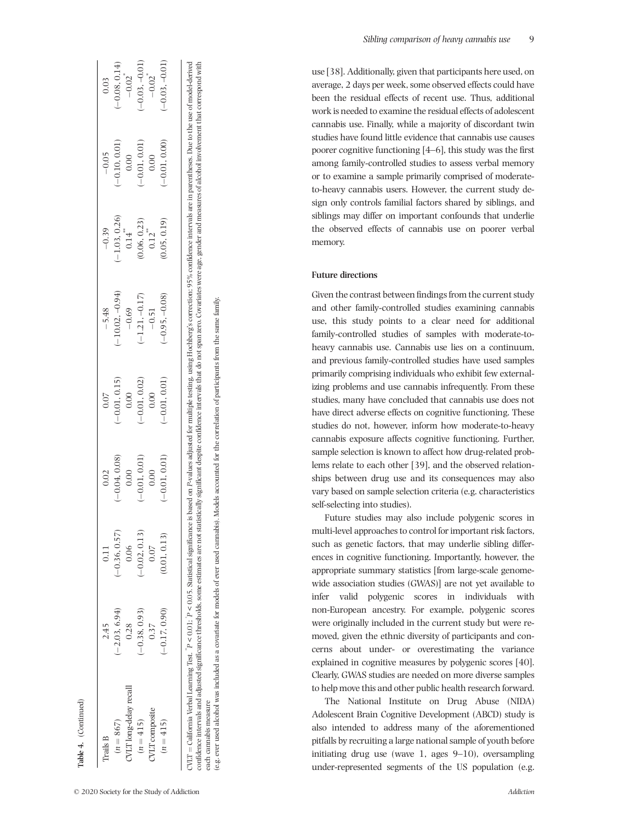| Trails B               | 2.45          | 0.11            | 0.02            | 0.07            | $-5.48$           | $-0.39$         | $-0.05$         | 0.03                 |
|------------------------|---------------|-----------------|-----------------|-----------------|-------------------|-----------------|-----------------|----------------------|
| $(n = 867)$            | $-2.03, 6.94$ | $(-0.36, 0.57)$ | $(-0.04, 0.08)$ | $(-0.01, 0.15)$ | $(-10.02, -0.94)$ | $(-1.03, 0.26)$ | $(-0.10, 0.01)$ | $(-0.08, 0.14)$      |
| JVLT long-delay recall | 0.28          | 0.06            | 0.00            | 0.00            | $-0.69$           | 0.14            | 0.00            | $-0.02$ <sup>*</sup> |
| $(n = 415)$            | $-0.38, 0.93$ | $(-0.02, 0.13)$ | $(-0.01, 0.01)$ | $(-0.01, 0.02)$ | $(-1.21, -0.17)$  | 0.06, 0.23      | $(-0.01, 0.01)$ | $-0.03, -0.01$       |
| <b>JVLT</b> composite  | 0.37          | 0.07            | 0.00            | 0.00            | $-0.51$           | 0.12            | 0.00            | $-0.02$ <sup>*</sup> |
| $(n = 415)$            | $-0.17, 0.90$ | 0.01, 0.13)     | $(-0.01, 0.01)$ | $(-0.01, 0.01)$ | $(-0.95, -0.08)$  | 0.05, 0.19      | $-0.01, 0.00$   | $(-0.03, -0.01)$     |

(e.g. ever used alcohol was included as a covariate for models of ever used cannabis). Models accounted for the correlation of participants from the same family. (e.g. ever used alcohol was included as a covariate for models of ever used cannabis). Models accounted for the correlation of participants from the same family. each cannabis measure each cannabis measure

confidence intervals and adjusted significance thresholds, some estimates are not statistically significant despite confidence intervals that do not span zero. Covariates were age, gender and measures of alcohol involvemen

use [38]. Additionally, given that participants here used, on average, 2 days per week, some observed effects could have been the residual effects of recent use. Thus, additional work is needed to examine the residual effects of adolescent cannabis use. Finally, while a majority of discordant twin studies have found little evidence that cannabis use causes poorer cognitive functioning [4 –6], this study was the first among family ‐controlled studies to assess verbal memory or to examine a sample primarily comprised of moderate ‐ to ‐heavy cannabis users. However, the current study design only controls familial factors shared by siblings, and siblings may differ on important confounds that underlie the observed effects of cannabis use on poorer verbal memory.

# **Future directions**

Given the contrast between findings from the current study and other family ‐controlled studies examining cannabis use, this study points to a clear need for additional family-controlled studies of samples with moderate-toheavy cannabis use. Cannabis use lies on a continuum, and previous family ‐controlled studies have used samples primarily comprising individuals who exhibit few externalizing problems and use cannabis infrequently. From these studies, many have concluded that cannabis use does not have direct adverse effects on cognitive functioning. These studies do not, however, inform how moderate-to-heavy cannabis exposure affects cognitive functioning. Further, sample selection is known to affect how drug-related problems relate to each other [39], and the observed relationships between drug use and its consequences may also vary based on sample selection criteria (e.g. characteristics self‐selecting into studies).

Future studies may also include polygenic scores in multi ‐level approaches to control for important risk factors, such as genetic factors, that may underlie sibling differences in cognitive functioning. Importantly, however, the appropriate summary statistics [from large ‐scale genome ‐ wide association studies (GWAS)] are not yet available to infer valid polygenic scores in individuals with non ‐European ancestry. For example, polygenic scores were originally included in the current study but were removed, given the ethnic diversity of participants and concerns about under‐ or overestimating the variance explained in cognitive measures by polygenic scores [40]. Clearly, GWAS studies are needed on more diverse samples to help move this and other public health research forward.

The National Institute on Drug Abuse (NIDA) Adolescent Brain Cognitive Development (ABCD) study is also intended to address many of the aforementioned pitfalls by recruiting a large national sample of youth before initiating drug use (wave 1, ages 9 –10), oversampling under ‐represented segments of the US population (e.g.

**Table 4.** (Continued)

lable 4. (Continued)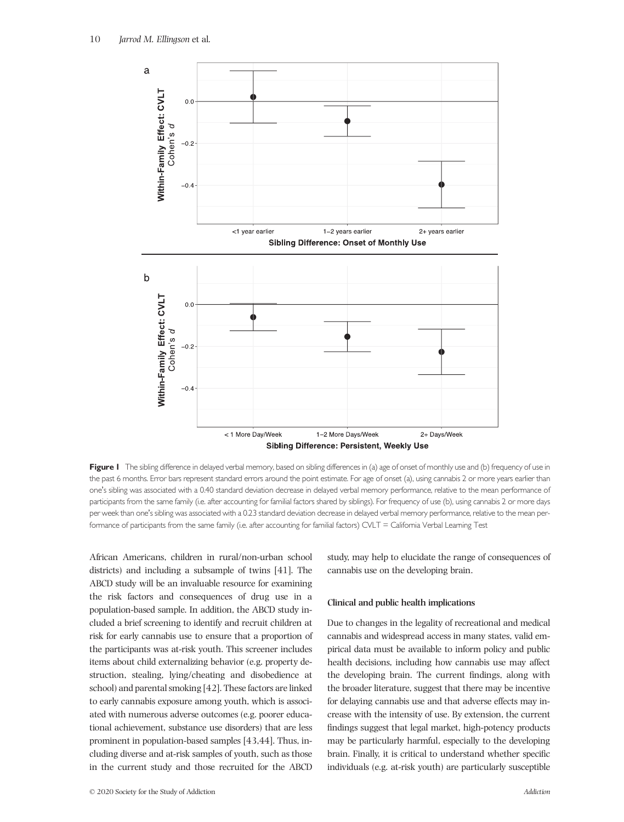

Figure I The sibling difference in delayed verbal memory, based on sibling differences in (a) age of onset of monthly use and (b) frequency of use in the past 6 months. Error bars represent standard errors around the point estimate. For age of onset (a), using cannabis 2 or more years earlier than one's sibling was associated with a 0.40 standard deviation decrease in delayed verbal memory performance, relative to the mean performance of participants from the same family (i.e. after accounting for familial factors shared by siblings). For frequency of use (b), using cannabis 2 or more days per week than one's sibling was associated with a 0.23 standard deviation decrease in delayed verbal memory performance, relative to the mean performance of participants from the same family (i.e. after accounting for familial factors) CVLT = California Verbal Learning Test

African Americans, children in rural/non‐urban school districts) and including a subsample of twins [41]. The ABCD study will be an invaluable resource for examining the risk factors and consequences of drug use in a population‐based sample. In addition, the ABCD study included a brief screening to identify and recruit children at risk for early cannabis use to ensure that a proportion of the participants was at‐risk youth. This screener includes items about child externalizing behavior (e.g. property destruction, stealing, lying/cheating and disobedience at school) and parental smoking [42]. These factors are linked to early cannabis exposure among youth, which is associated with numerous adverse outcomes (e.g. poorer educational achievement, substance use disorders) that are less prominent in population‐based samples [43,44]. Thus, including diverse and at‐risk samples of youth, such as those in the current study and those recruited for the ABCD

**Clinical and public health implications**

cannabis use on the developing brain.

Due to changes in the legality of recreational and medical cannabis and widespread access in many states, valid empirical data must be available to inform policy and public health decisions, including how cannabis use may affect the developing brain. The current findings, along with the broader literature, suggest that there may be incentive for delaying cannabis use and that adverse effects may increase with the intensity of use. By extension, the current findings suggest that legal market, high‐potency products may be particularly harmful, especially to the developing brain. Finally, it is critical to understand whether specific individuals (e.g. at‐risk youth) are particularly susceptible

study, may help to elucidate the range of consequences of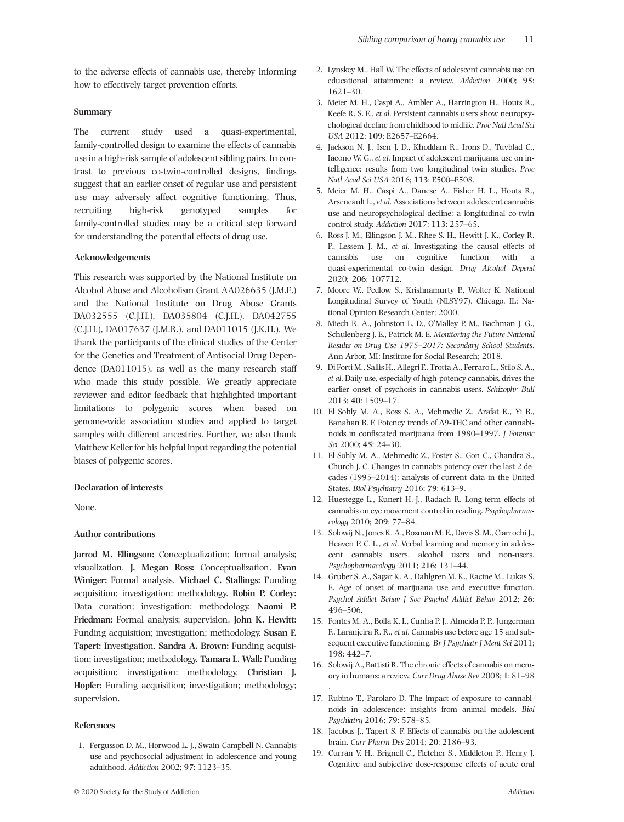to the adverse effects of cannabis use, thereby informing how to effectively target prevention efforts.

## **Summary**

The current study used a quasi-experimental, family‐controlled design to examine the effects of cannabis use in a high-risk sample of adolescent sibling pairs. In contrast to previous co‐twin‐controlled designs, findings suggest that an earlier onset of regular use and persistent use may adversely affect cognitive functioning. Thus, recruiting high‐risk genotyped samples for family‐controlled studies may be a critical step forward for understanding the potential effects of drug use.

# **Acknowledgements**

This research was supported by the National Institute on Alcohol Abuse and Alcoholism Grant AA026635 (J.M.E.) and the National Institute on Drug Abuse Grants DA032555 (C.J.H.), DA035804 (C.J.H.), DA042755 (C.J.H.), DA017637 (J.M.R.), and DA011015 (J.K.H.). We thank the participants of the clinical studies of the Center for the Genetics and Treatment of Antisocial Drug Dependence (DA011015), as well as the many research staff who made this study possible. We greatly appreciate reviewer and editor feedback that highlighted important limitations to polygenic scores when based on genome‐wide association studies and applied to target samples with different ancestries. Further, we also thank Matthew Keller for his helpful input regarding the potential biases of polygenic scores.

## **Declaration of interests**

None.

#### **Author contributions**

**Jarrod M. Ellingson:** Conceptualization; formal analysis; visualization. **J. Megan Ross:** Conceptualization. **Evan Winiger:** Formal analysis. **Michael C. Stallings:** Funding acquisition; investigation; methodology. **Robin P. Corley:** Data curation; investigation; methodology. **Naomi P. Friedman:** Formal analysis; supervision. **John K. Hewitt:** Funding acquisition; investigation; methodology. **Susan F. Tapert:** Investigation. **Sandra A. Brown:** Funding acquisition; investigation; methodology. **Tamara L. Wall:** Funding acquisition; investigation; methodology. **Christian J. Hopfer:** Funding acquisition; investigation; methodology; supervision.

## **References**

1. Fergusson D. M., Horwood L. J., Swain‐Campbell N. Cannabis use and psychosocial adjustment in adolescence and young adulthood. *Addiction* 2002; **97**: 1123–35.

- 2. Lynskey M., Hall W. The effects of adolescent cannabis use on educational attainment: a review. *Addiction* 2000; **95**: 1621–30.
- 3. Meier M. H., Caspi A., Ambler A., Harrington H., Houts R., Keefe R. S. E., *et al*. Persistent cannabis users show neuropsychological decline from childhood to midlife. *Proc Natl Acad Sci USA* 2012; **109**: E2657–E2664.
- 4. Jackson N. J., Isen J. D., Khoddam R., Irons D., Tuvblad C., Iacono W. G., *et al*. Impact of adolescent marijuana use on intelligence: results from two longitudinal twin studies. *Proc Natl Acad Sci USA* 2016; **113**: E500–E508.
- 5. Meier M. H., Caspi A., Danese A., Fisher H. L., Houts R., Arseneault L.,*et al*. Associations between adolescent cannabis use and neuropsychological decline: a longitudinal co-twin control study. *Addiction* 2017; **113**: 257–65.
- 6. Ross J. M., Ellingson J. M., Rhee S. H., Hewitt J. K., Corley R. P., Lessem J. M., *et al*. Investigating the causal effects of cannabis use on cognitive function with a quasi‐experimental co‐twin design. *Drug Alcohol Depend* 2020; **206**: 107712.
- 7. Moore W., Pedlow S., Krishnamurty P., Wolter K. National Longitudinal Survey of Youth (NLSY97). Chicago, IL: National Opinion Research Center; 2000.
- 8. Miech R. A., Johnston L. D., O'Malley P. M., Bachman J. G., Schulenberg J. E., Patrick M. E. *Monitoring the Future National Results on Drug Use 1975–2017: Secondary School Students*. Ann Arbor, MI: Institute for Social Research; 2018.
- 9. Di Forti M., Sallis H., Allegri F., Trotta A., Ferraro L., Stilo S. A., *et al*. Daily use, especially of high‐potency cannabis, drives the earlier onset of psychosis in cannabis users. *Schizophr Bull* 2013; **40**: 1509–17.
- 10. El Sohly M. A., Ross S. A., Mehmedic Z., Arafat R., Yi B., Banahan B. F. Potency trends of Δ9‐THC and other cannabinoids in confiscated marijuana from 1980–1997. *J Forensic Sci* 2000; **45**: 24–30.
- 11. El Sohly M. A., Mehmedic Z., Foster S., Gon C., Chandra S., Church J. C. Changes in cannabis potency over the last 2 decades (1995–2014): analysis of current data in the United States. *Biol Psychiatry* 2016; **79**: 613–9.
- 12. Huestegge L., Kunert H.‐J., Radach R. Long‐term effects of cannabis on eye movement control in reading. *Psychopharmacology* 2010; **209**: 77–84.
- 13. Solowij N., Jones K. A., Rozman M. E., Davis S. M., Ciarrochi J., Heaven P. C. L., *et al*. Verbal learning and memory in adolescent cannabis users, alcohol users and non‐users. *Psychopharmacology* 2011; **216**: 131–44.
- 14. Gruber S. A., Sagar K. A., Dahlgren M. K., Racine M., Lukas S. E. Age of onset of marijuana use and executive function. *Psychol Addict Behav J Soc Psychol Addict Behav* 2012; **26**: 496–506.
- 15. Fontes M. A., Bolla K. I., Cunha P. J., Almeida P. P., Jungerman F., Laranjeira R. R., *et al*. Cannabis use before age 15 and subsequent executive functioning. *Br J Psychiatr J Ment Sci* 2011; **198**: 442–7.
- 16. Solowij A., Battisti R. The chronic effects of cannabis on memory in humans: a review. *Curr Drug Abuse Rev* 2008; **1**: 81–98 .
- 17. Rubino T., Parolaro D. The impact of exposure to cannabinoids in adolescence: insights from animal models. *Biol Psychiatry* 2016; **79**: 578–85.
- 18. Jacobus J., Tapert S. F. Effects of cannabis on the adolescent brain. *Curr Pharm Des* 2014; **20**: 2186–93.
- 19. Curran V. H., Brignell C., Fletcher S., Middleton P., Henry J. Cognitive and subjective dose‐response effects of acute oral